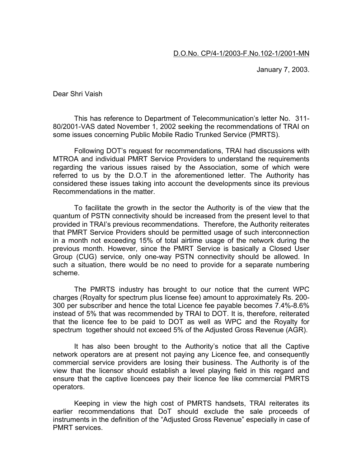January 7, 2003.

Dear Shri Vaish

This has reference to Department of Telecommunication's letter No. 311- 80/2001-VAS dated November 1, 2002 seeking the recommendations of TRAI on some issues concerning Public Mobile Radio Trunked Service (PMRTS).

Following DOT's request for recommendations, TRAI had discussions with MTROA and individual PMRT Service Providers to understand the requirements regarding the various issues raised by the Association, some of which were referred to us by the D.O.T in the aforementioned letter. The Authority has considered these issues taking into account the developments since its previous Recommendations in the matter.

To facilitate the growth in the sector the Authority is of the view that the quantum of PSTN connectivity should be increased from the present level to that provided in TRAI's previous recommendations. Therefore, the Authority reiterates that PMRT Service Providers should be permitted usage of such interconnection in a month not exceeding 15% of total airtime usage of the network during the previous month. However, since the PMRT Service is basically a Closed User Group (CUG) service, only one-way PSTN connectivity should be allowed. In such a situation, there would be no need to provide for a separate numbering scheme.

The PMRTS industry has brought to our notice that the current WPC charges (Royalty for spectrum plus license fee) amount to approximately Rs. 200- 300 per subscriber and hence the total Licence fee payable becomes 7.4%-8.6% instead of 5% that was recommended by TRAI to DOT. It is, therefore, reiterated that the licence fee to be paid to DOT as well as WPC and the Royalty for spectrum together should not exceed 5% of the Adjusted Gross Revenue (AGR).

It has also been brought to the Authority's notice that all the Captive network operators are at present not paying any Licence fee, and consequently commercial service providers are losing their business. The Authority is of the view that the licensor should establish a level playing field in this regard and ensure that the captive licencees pay their licence fee like commercial PMRTS operators.

Keeping in view the high cost of PMRTS handsets, TRAI reiterates its earlier recommendations that DoT should exclude the sale proceeds of instruments in the definition of the "Adjusted Gross Revenue" especially in case of PMRT services.